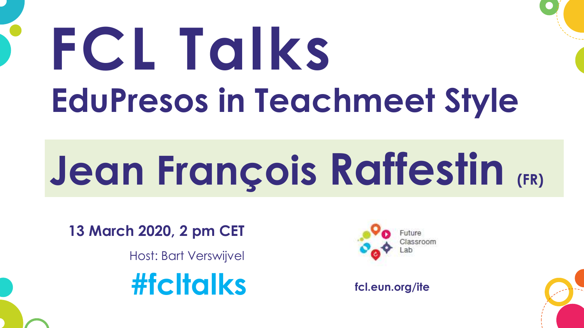# **FCL Talks EduPresos in Teachmeet Style**

# **Jean François Raffestin (FR)**

**13 March 2020, 2 pm CET**

Host: Bart Verswijvel

**#fcltalks fcl.eun.org/ite**

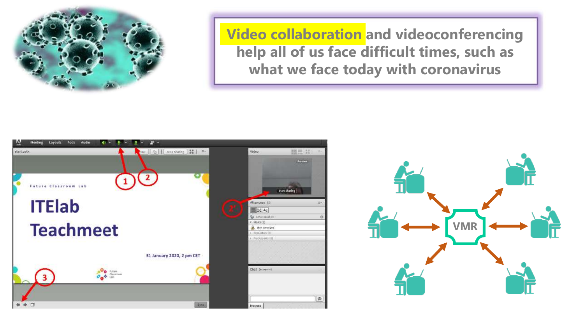

**Video collaboration and videoconferencing help all of us face difficult times, such as what we face today with coronavirus**



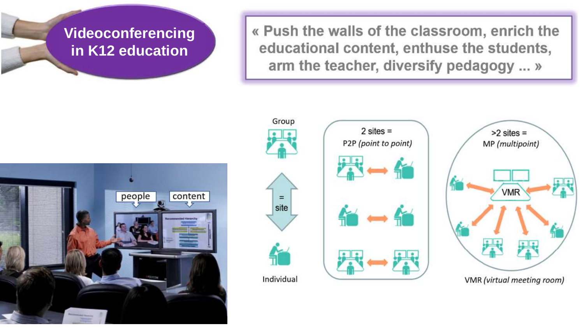### **Videoconferencing in K12 education**

« Push the walls of the classroom, enrich the educational content, enthuse the students, arm the teacher, diversify pedagogy ... »







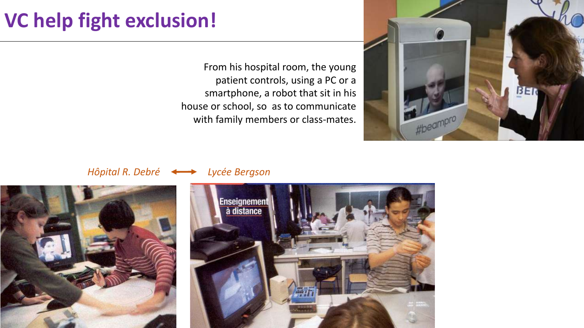## **VC help fight exclusion!**

From his hospital room, the young patient controls, using a PC or a smartphone, a robot that sit in his house or school, so as to communicate with family members or class-mates.



#### *Hôpital R. Debré Lycée Bergson*



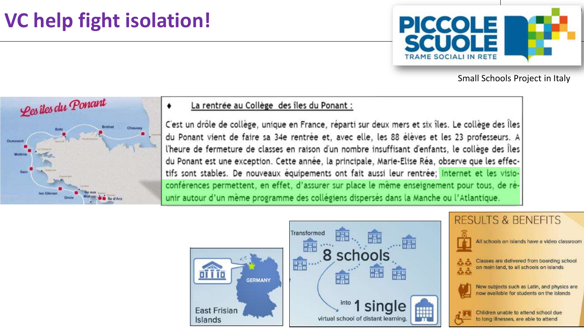# The same of the set of the latter of the latter of the set of the set of the set of the set of the set of the set of the set of the set of the set of the set of the set of the set of the set of the set of the set of the se



Small Schools Project in Italy



#### La rentrée au Collège des îles du Ponant :

C'est un drôle de collège, unique en France, réparti sur deux mers et six îles. Le collège des Îles du Ponant vient de faire sa 34e rentrée et, avec elle, les 88 élèves et les 23 professeurs. A l'heure de fermeture de classes en raison d'un nombre insuffisant d'enfants, le collège des Îles du Ponant est une exception. Cette année, la principale, Marie-Elise Réa, observe que les effectifs sont stables. De nouveaux équipements ont fait aussi leur rentrée; Internet et les visioconférences permettent, en effet, d'assurer sur place le même enseignement pour tous, de réunir autour d'un même programme des collégiens dispersés dans la Manche ou l'Atlantique.

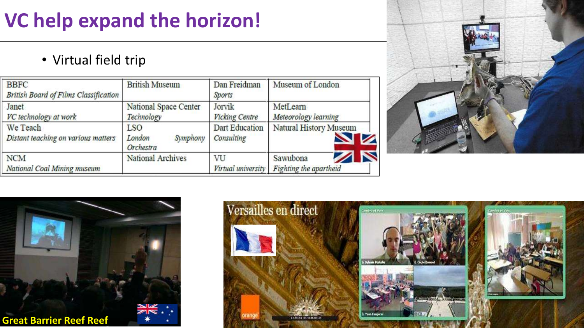# VC help expand the horizon!

• Virtual field trip

| <b>BBFC</b><br><b>British Board of Films Classification</b> | <b>British Museum</b>                         | Dan Freidman<br><b>Sports</b>   | Museum of London                                |
|-------------------------------------------------------------|-----------------------------------------------|---------------------------------|-------------------------------------------------|
| Janet<br>VC technology at work                              | National Space Center<br>Technology           | Jorvik<br><b>Vicking Centre</b> | MetLearn<br>Meteorology learning                |
| We Teach<br>Distant teaching on various matters             | <b>LSO</b><br>Symphony<br>London<br>Orchestra | Dart Education<br>Consulting    | Natural History Museum<br>$\blacktriangle$<br>Ø |
| <b>NCM</b><br>National Coal Mining museum                   | National Archives                             | VU<br>Virtual university        | N<br>◢<br>Sawubona<br>Fighting the apartheid    |





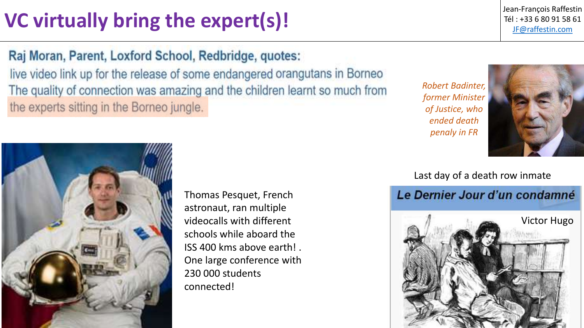# **VC virtually bring the expert(s)!**  $\begin{array}{c|c} \text{if } 1 & \text{if } 1 & \text{if } 33 & \text{if } 80 & \text{if } 91 & \text{if } 188 & \text{if } 188 & \text{if } 188 & \text{if } 188 & \text{if } 188 & \text{if } 188 & \text{if } 188 & \text{if } 188 & \text{if } 188 & \text{if } 188 & \text{if } 188 & \text{if } 188 & \text{if } 188 & \text{$

Jean-François Raffestin

#### Raj Moran, Parent, Loxford School, Redbridge, quotes:

live video link up for the release of some endangered orangutans in Borneo The quality of connection was amazing and the children learnt so much from the experts sitting in the Borneo jungle.

*Robert Badinter, former Minister of Justice, who ended death penaly in FR*





Thomas Pesquet, French astronaut, ran multiple videocalls with different schools while aboard the ISS 400 kms above earth! . One large conference with 230 000 students connected!

#### Last day of a death row inmate

#### Le Dernier Jour d'un condamné

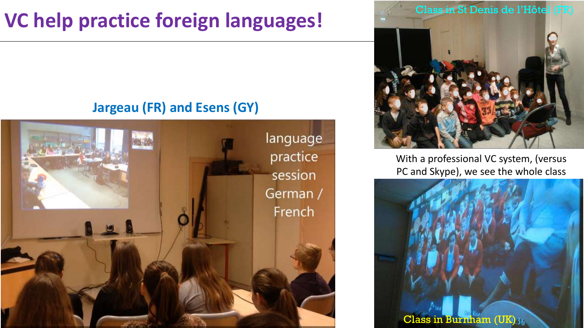# **VC help practice foreign languages!**

#### **Jargeau (FR) and Esens (GY)**





With a professional VC system, (versus PC and Skype), we see the whole class